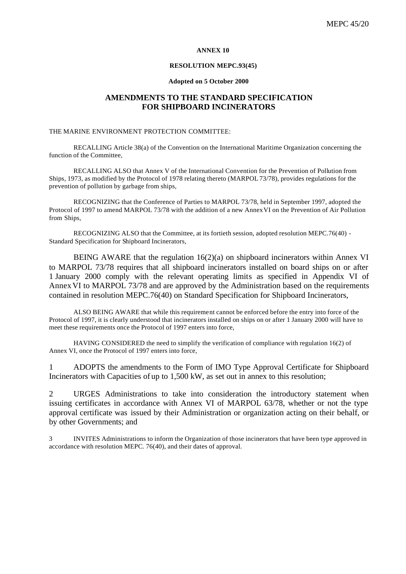## **ANNEX 10**

## **RESOLUTION MEPC.93(45)**

#### **Adopted on 5 October 2000**

## **AMENDMENTS TO THE STANDARD SPECIFICATION FOR SHIPBOARD INCINERATORS**

### THE MARINE ENVIRONMENT PROTECTION COMMITTEE:

RECALLING Article 38(a) of the Convention on the International Maritime Organization concerning the function of the Committee,

RECALLING ALSO that Annex V of the International Convention for the Prevention of Pollution from Ships, 1973, as modified by the Protocol of 1978 relating thereto (MARPOL 73/78), provides regulations for the prevention of pollution by garbage from ships,

RECOGNIZING that the Conference of Parties to MARPOL 73/78, held in September 1997, adopted the Protocol of 1997 to amend MARPOL 73/78 with the addition of a new AnnexVI on the Prevention of Air Pollution from Ships,

RECOGNIZING ALSO that the Committee, at its fortieth session, adopted resolution MEPC.76(40) - Standard Specification for Shipboard Incinerators,

BEING AWARE that the regulation  $16(2)(a)$  on shipboard incinerators within Annex VI to MARPOL 73/78 requires that all shipboard incinerators installed on board ships on or after 1 January 2000 comply with the relevant operating limits as specified in Appendix VI of AnnexVI to MARPOL 73/78 and are approved by the Administration based on the requirements contained in resolution MEPC.76(40) on Standard Specification for Shipboard Incinerators,

ALSO BEING AWARE that while this requirement cannot be enforced before the entry into force of the Protocol of 1997, it is clearly understood that incinerators installed on ships on or after 1 January 2000 will have to meet these requirements once the Protocol of 1997 enters into force,

HAVING CONSIDERED the need to simplify the verification of compliance with regulation 16(2) of Annex VI, once the Protocol of 1997 enters into force,

1 ADOPTS the amendments to the Form of IMO Type Approval Certificate for Shipboard Incinerators with Capacities of up to 1,500 kW, as set out in annex to this resolution;

2 URGES Administrations to take into consideration the introductory statement when issuing certificates in accordance with Annex VI of MARPOL 63/78, whether or not the type approval certificate was issued by their Administration or organization acting on their behalf, or by other Governments; and

3 INVITES Administrations to inform the Organization of those incinerators that have been type approved in accordance with resolution MEPC. 76(40), and their dates of approval.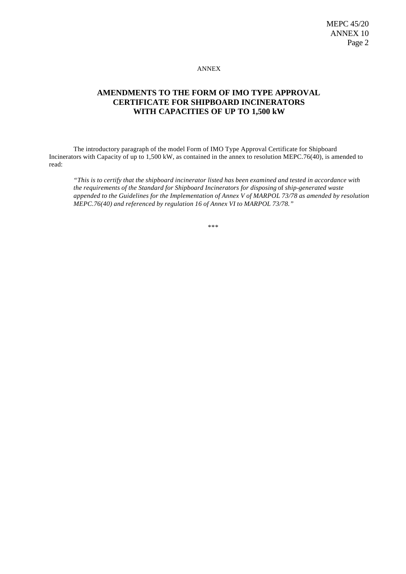ANNEX

# **AMENDMENTS TO THE FORM OF IMO TYPE APPROVAL CERTIFICATE FOR SHIPBOARD INCINERATORS WITH CAPACITIES OF UP TO 1,500 kW**

The introductory paragraph of the model Form of IMO Type Approval Certificate for Shipboard Incinerators with Capacity of up to 1,500 kW, as contained in the annex to resolution MEPC.76(40), is amended to read:

*"This is to certify that the shipboard incinerator listed has been examined and tested in accordance with the requirements of the Standard for Shipboard Incinerators for disposing* of *ship-generated waste appended to the Guidelines for the Implementation of Annex V of MARPOL 73/78 as amended by resolution MEPC.76(40) and referenced by regulation 16 of Annex VI to MARPOL 73/78."*

\*\*\*